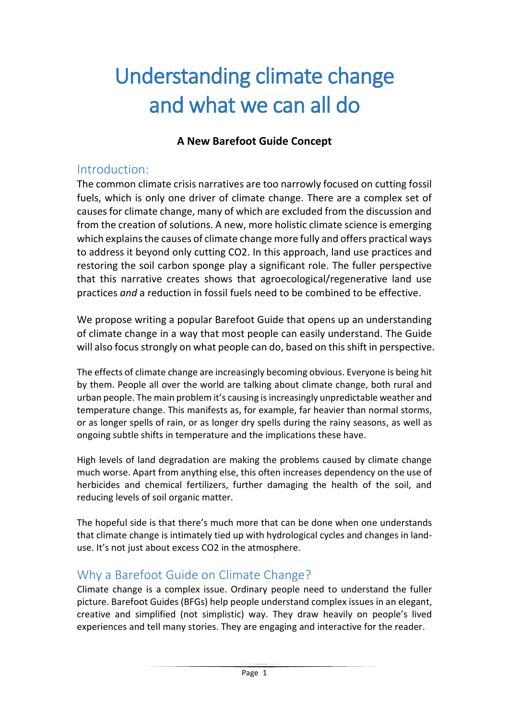# Understanding climate change and what we can all do

#### **A New Barefoot Guide Concept**

#### Introduction:

The common climate crisis narratives are too narrowly focused on cutting fossil fuels, which is only one driver of climate change. There are a complex set of causes for climate change, many of which are excluded from the discussion and from the creation of solutions. A new, more holistic climate science is emerging which explains the causes of climate change more fully and offers practical ways to address it beyond only cutting CO2. In this approach, land use practices and restoring the soil carbon sponge play a significant role. The fuller perspective that this narrative creates shows that agroecological/regenerative land use practices *and* a reduction in fossil fuels need to be combined to be effective.

We propose writing a popular Barefoot Guide that opens up an understanding of climate change in a way that most people can easily understand. The Guide will also focus strongly on what people can do, based on this shift in perspective.

The effects of climate change are increasingly becoming obvious. Everyone is being hit by them. People all over the world are talking about climate change, both rural and urban people. The main problem it's causing is increasingly unpredictable weather and temperature change. This manifests as, for example, far heavier than normal storms, or as longer spells of rain, or as longer dry spells during the rainy seasons, as well as ongoing subtle shifts in temperature and the implications these have.

High levels of land degradation are making the problems caused by climate change much worse. Apart from anything else, this often increases dependency on the use of herbicides and chemical fertilizers, further damaging the health of the soil, and reducing levels of soil organic matter.

The hopeful side is that there's much more that can be done when one understands that climate change is intimately tied up with hydrological cycles and changes in landuse. It's not just about excess CO2 in the atmosphere.

## Why a Barefoot Guide on Climate Change?

Climate change is a complex issue. Ordinary people need to understand the fuller picture. Barefoot Guides (BFGs) help people understand complex issues in an elegant, creative and simplified (not simplistic) way. They draw heavily on people's lived experiences and tell many stories. They are engaging and interactive for the reader.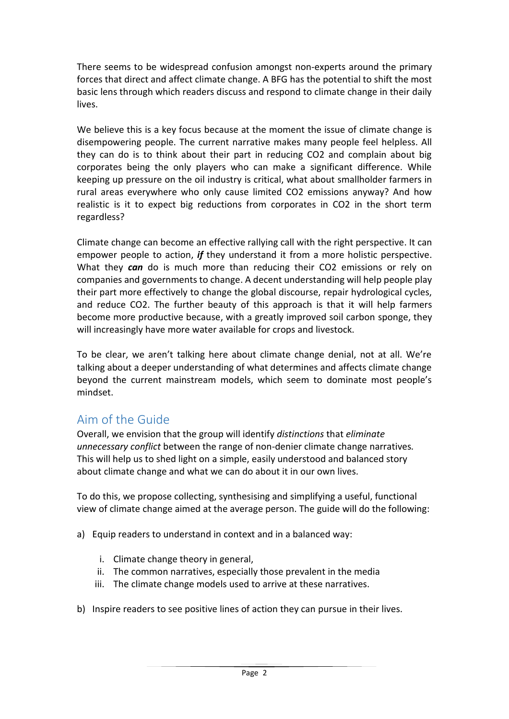There seems to be widespread confusion amongst non-experts around the primary forces that direct and affect climate change. A BFG has the potential to shift the most basic lens through which readers discuss and respond to climate change in their daily lives.

We believe this is a key focus because at the moment the issue of climate change is disempowering people. The current narrative makes many people feel helpless. All they can do is to think about their part in reducing CO2 and complain about big corporates being the only players who can make a significant difference. While keeping up pressure on the oil industry is critical, what about smallholder farmers in rural areas everywhere who only cause limited CO2 emissions anyway? And how realistic is it to expect big reductions from corporates in CO2 in the short term regardless?

Climate change can become an effective rallying call with the right perspective. It can empower people to action, *if* they understand it from a more holistic perspective. What they *can* do is much more than reducing their CO2 emissions or rely on companies and governments to change. A decent understanding will help people play their part more effectively to change the global discourse, repair hydrological cycles, and reduce CO2. The further beauty of this approach is that it will help farmers become more productive because, with a greatly improved soil carbon sponge, they will increasingly have more water available for crops and livestock.

To be clear, we aren't talking here about climate change denial, not at all. We're talking about a deeper understanding of what determines and affects climate change beyond the current mainstream models, which seem to dominate most people's mindset.

## Aim of the Guide

Overall, we envision that the group will identify *distinctions* that *eliminate unnecessary conflict* between the range of non-denier climate change narratives*.*  This will help us to shed light on a simple, easily understood and balanced story about climate change and what we can do about it in our own lives.

To do this, we propose collecting, synthesising and simplifying a useful, functional view of climate change aimed at the average person. The guide will do the following:

- a) Equip readers to understand in context and in a balanced way:
	- i. Climate change theory in general,
	- ii. The common narratives, especially those prevalent in the media
	- iii. The climate change models used to arrive at these narratives.
- b) Inspire readers to see positive lines of action they can pursue in their lives.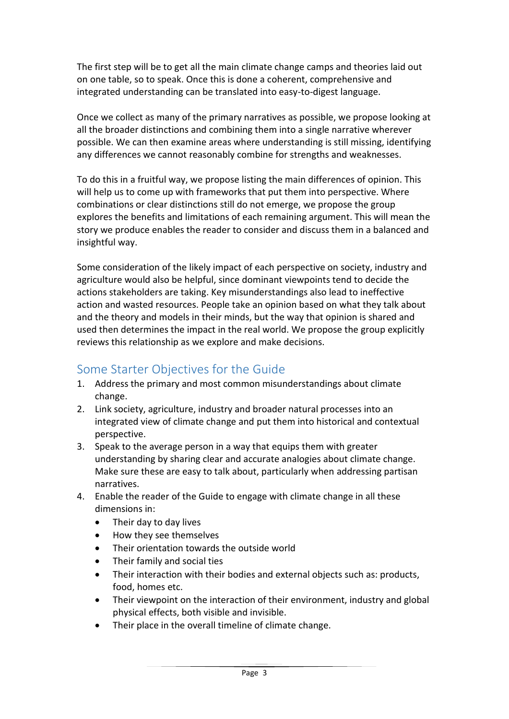The first step will be to get all the main climate change camps and theories laid out on one table, so to speak. Once this is done a coherent, comprehensive and integrated understanding can be translated into easy-to-digest language.

Once we collect as many of the primary narratives as possible, we propose looking at all the broader distinctions and combining them into a single narrative wherever possible. We can then examine areas where understanding is still missing, identifying any differences we cannot reasonably combine for strengths and weaknesses.

To do this in a fruitful way, we propose listing the main differences of opinion. This will help us to come up with frameworks that put them into perspective. Where combinations or clear distinctions still do not emerge, we propose the group explores the benefits and limitations of each remaining argument. This will mean the story we produce enables the reader to consider and discuss them in a balanced and insightful way.

Some consideration of the likely impact of each perspective on society, industry and agriculture would also be helpful, since dominant viewpoints tend to decide the actions stakeholders are taking. Key misunderstandings also lead to ineffective action and wasted resources. People take an opinion based on what they talk about and the theory and models in their minds, but the way that opinion is shared and used then determines the impact in the real world. We propose the group explicitly reviews this relationship as we explore and make decisions.

## Some Starter Objectives for the Guide

- 1. Address the primary and most common misunderstandings about climate change.
- 2. Link society, agriculture, industry and broader natural processes into an integrated view of climate change and put them into historical and contextual perspective.
- 3. Speak to the average person in a way that equips them with greater understanding by sharing clear and accurate analogies about climate change. Make sure these are easy to talk about, particularly when addressing partisan narratives.
- 4. Enable the reader of the Guide to engage with climate change in all these dimensions in:
	- Their day to day lives
	- How they see themselves
	- Their orientation towards the outside world
	- Their family and social ties
	- Their interaction with their bodies and external objects such as: products, food, homes etc.
	- Their viewpoint on the interaction of their environment, industry and global physical effects, both visible and invisible.
	- Their place in the overall timeline of climate change.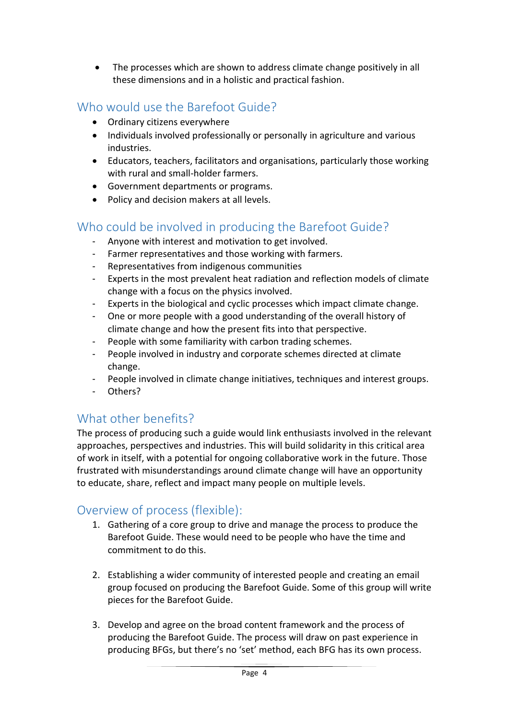• The processes which are shown to address climate change positively in all these dimensions and in a holistic and practical fashion.

## Who would use the Barefoot Guide?

- Ordinary citizens everywhere
- Individuals involved professionally or personally in agriculture and various industries.
- Educators, teachers, facilitators and organisations, particularly those working with rural and small-holder farmers.
- Government departments or programs.
- Policy and decision makers at all levels.

### Who could be involved in producing the Barefoot Guide?

- Anyone with interest and motivation to get involved.
- Farmer representatives and those working with farmers.
- Representatives from indigenous communities
- Experts in the most prevalent heat radiation and reflection models of climate change with a focus on the physics involved.
- Experts in the biological and cyclic processes which impact climate change.
- One or more people with a good understanding of the overall history of climate change and how the present fits into that perspective.
- People with some familiarity with carbon trading schemes.
- People involved in industry and corporate schemes directed at climate change.
- People involved in climate change initiatives, techniques and interest groups.
- Others?

#### What other benefits?

The process of producing such a guide would link enthusiasts involved in the relevant approaches, perspectives and industries. This will build solidarity in this critical area of work in itself, with a potential for ongoing collaborative work in the future. Those frustrated with misunderstandings around climate change will have an opportunity to educate, share, reflect and impact many people on multiple levels.

#### Overview of process (flexible):

- 1. Gathering of a core group to drive and manage the process to produce the Barefoot Guide. These would need to be people who have the time and commitment to do this.
- 2. Establishing a wider community of interested people and creating an email group focused on producing the Barefoot Guide. Some of this group will write pieces for the Barefoot Guide.
- 3. Develop and agree on the broad content framework and the process of producing the Barefoot Guide. The process will draw on past experience in producing BFGs, but there's no 'set' method, each BFG has its own process.